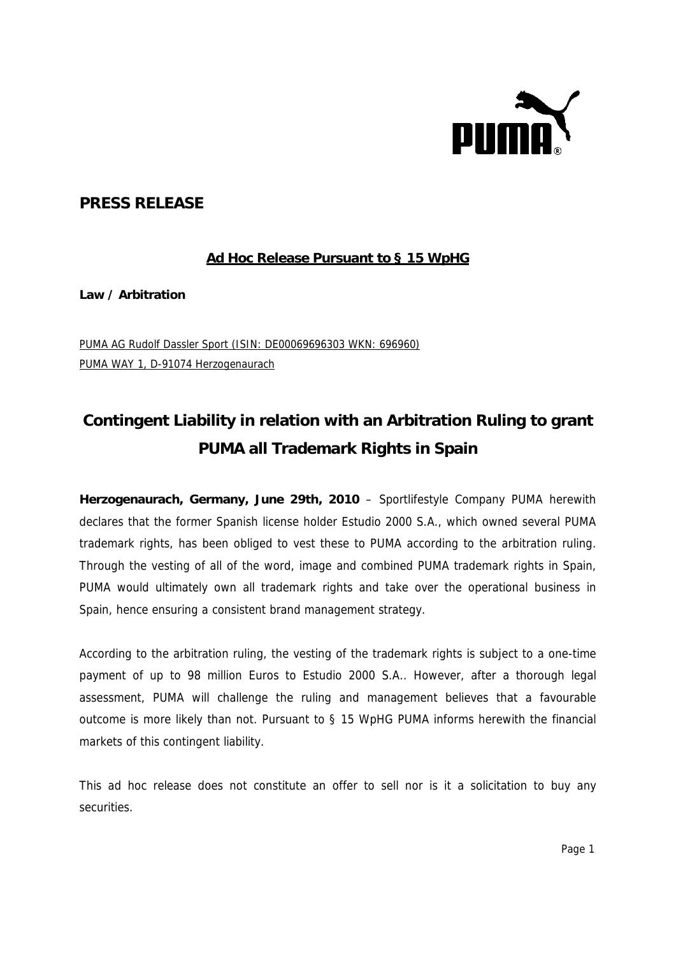

## **PRESS RELEASE**

## **Ad Hoc Release Pursuant to § 15 WpHG**

**Law / Arbitration** 

PUMA AG Rudolf Dassler Sport (ISIN: DE00069696303 WKN: 696960) PUMA WAY 1, D-91074 Herzogenaurach

# **Contingent Liability in relation with an Arbitration Ruling to grant PUMA all Trademark Rights in Spain**

**Herzogenaurach, Germany, June 29th, 2010** – Sportlifestyle Company PUMA herewith declares that the former Spanish license holder Estudio 2000 S.A., which owned several PUMA trademark rights, has been obliged to vest these to PUMA according to the arbitration ruling. Through the vesting of all of the word, image and combined PUMA trademark rights in Spain, PUMA would ultimately own all trademark rights and take over the operational business in Spain, hence ensuring a consistent brand management strategy.

According to the arbitration ruling, the vesting of the trademark rights is subject to a one-time payment of up to 98 million Euros to Estudio 2000 S.A.. However, after a thorough legal assessment, PUMA will challenge the ruling and management believes that a favourable outcome is more likely than not. Pursuant to § 15 WpHG PUMA informs herewith the financial markets of this contingent liability.

This ad hoc release does not constitute an offer to sell nor is it a solicitation to buy any securities.